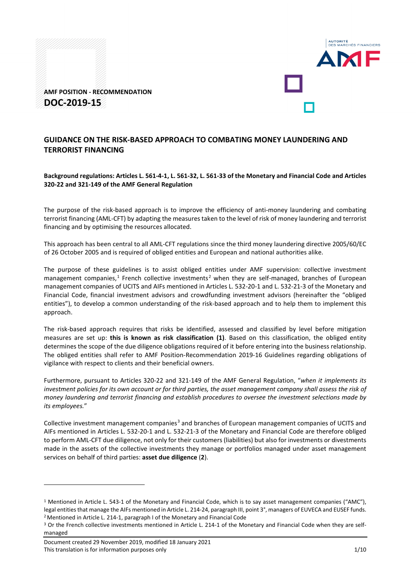

**AMF POSITION - RECOMMENDATION DOC-2019-15**

# **GUIDANCE ON THE RISK-BASED APPROACH TO COMBATING MONEY LAUNDERING AND TERRORIST FINANCING**

**Background regulations: Articles L. 561-4-1, L. 561-32, L. 561-33 of the Monetary and Financial Code and Articles 320-22 and 321-149 of the AMF General Regulation** 

The purpose of the risk-based approach is to improve the efficiency of anti-money laundering and combating terrorist financing (AML-CFT) by adapting the measures taken to the level of risk of money laundering and terrorist financing and by optimising the resources allocated.

This approach has been central to all AML-CFT regulations since the third money laundering directive 2005/60/EC of 26 October 2005 and is required of obliged entities and European and national authorities alike.

The purpose of these guidelines is to assist obliged entities under AMF supervision: collective investment management companies,<sup>[1](#page-0-0)</sup> French collective investments<sup>[2](#page-0-1)</sup> when they are self-managed, branches of European management companies of UCITS and AIFs mentioned in Articles L. 532-20-1 and L. 532-21-3 of the Monetary and Financial Code, financial investment advisors and crowdfunding investment advisors (hereinafter the "obliged entities"), to develop a common understanding of the risk-based approach and to help them to implement this approach.

The risk-based approach requires that risks be identified, assessed and classified by level before mitigation measures are set up: **this is known as risk classification (1)**. Based on this classification, the obliged entity determines the scope of the due diligence obligations required of it before entering into the business relationship. The obliged entities shall refer to AMF Position-Recommendation 2019-16 Guidelines regarding obligations of vigilance with respect to clients and their beneficial owners.

Furthermore, pursuant to Articles 320-22 and 321-149 of the AMF General Regulation, "*when it implements its investment policies for its own account or for third parties, the asset management company shall assess the risk of money laundering and terrorist financing and establish procedures to oversee the investment selections made by its employees.*"

Collective investment management companies<sup>[3](#page-0-2)</sup> and branches of European management companies of UCITS and AIFs mentioned in Articles L. 532-20-1 and L. 532-21-3 of the Monetary and Financial Code are therefore obliged to perform AML-CFT due diligence, not only for their customers (liabilities) but also for investments or divestments made in the assets of the collective investments they manage or portfolios managed under asset management services on behalf of third parties: **asset due diligence** (**2**).

<u>.</u>

<span id="page-0-0"></span><sup>&</sup>lt;sup>1</sup> Mentioned in Article L. 543-1 of the Monetary and Financial Code, which is to say asset management companies ("AMC"), legal entities that manage the AIFs mentioned in Article L. 214-24, paragraph III, point 3°, managers of EUVECA and EUSEF funds. 2Mentioned in Article L. 214-1, paragraph I of the Monetary and Financial Code

<span id="page-0-2"></span><span id="page-0-1"></span><sup>&</sup>lt;sup>3</sup> Or the French collective investments mentioned in Article L. 214-1 of the Monetary and Financial Code when they are selfmanaged

Document created 29 November 2019, modified 18 January 2021 This translation is for information purposes only 1/10 and the state of the state of the state of the 1/10 and 1/10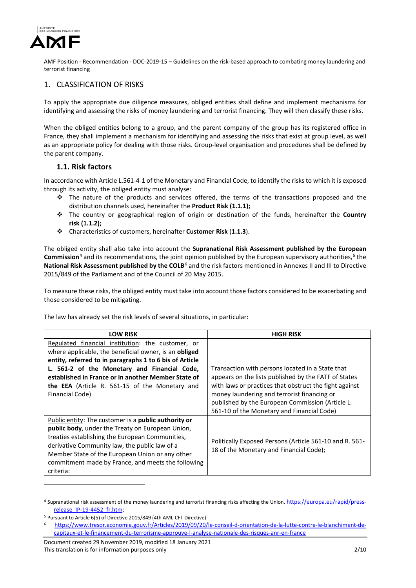

## 1. CLASSIFICATION OF RISKS

To apply the appropriate due diligence measures, obliged entities shall define and implement mechanisms for identifying and assessing the risks of money laundering and terrorist financing. They will then classify these risks.

When the obliged entities belong to a group, and the parent company of the group has its registered office in France, they shall implement a mechanism for identifying and assessing the risks that exist at group level, as well as an appropriate policy for dealing with those risks. Group-level organisation and procedures shall be defined by the parent company.

## **1.1. Risk factors**

In accordance with Article L.561-4-1 of the Monetary and Financial Code, to identify the risks to which it is exposed through its activity, the obliged entity must analyse:

- $\div$  The nature of the products and services offered, the terms of the transactions proposed and the distribution channels used, hereinafter the **Product Risk (1.1.1);**
- The country or geographical region of origin or destination of the funds, hereinafter the **Country risk (1.1.2);**
- Characteristics of customers, hereinafter **Customer Risk** (**1.1.3**).

The obliged entity shall also take into account the **Supranational Risk Assessment published by the European Commission**<sup>[4](#page-1-0)</sup> and its recommendations, the joint opinion published by the European supervisory authorities,<sup>[5](#page-1-1)</sup> the **National Risk Assessment published by the COLB**[6](#page-1-2) and the risk factors mentioned in Annexes II and III to Directive 2015/849 of the Parliament and of the Council of 20 May 2015.

To measure these risks, the obliged entity must take into account those factors considered to be exacerbating and those considered to be mitigating.

The law has already set the risk levels of several situations, in particular:

| <b>LOW RISK</b>                                                                                                                                                                                                                                                                                                                           | <b>HIGH RISK</b>                                                                                                                                                                                                                                                                                                    |
|-------------------------------------------------------------------------------------------------------------------------------------------------------------------------------------------------------------------------------------------------------------------------------------------------------------------------------------------|---------------------------------------------------------------------------------------------------------------------------------------------------------------------------------------------------------------------------------------------------------------------------------------------------------------------|
| Regulated financial institution: the customer, or<br>where applicable, the beneficial owner, is an obliged<br>entity, referred to in paragraphs 1 to 6 bis of Article                                                                                                                                                                     |                                                                                                                                                                                                                                                                                                                     |
| L. 561-2 of the Monetary and Financial Code,<br>established in France or in another Member State of<br>the EEA (Article R. 561-15 of the Monetary and<br>Financial Code)                                                                                                                                                                  | Transaction with persons located in a State that<br>appears on the lists published by the FATF of States<br>with laws or practices that obstruct the fight against<br>money laundering and terrorist financing or<br>published by the European Commission (Article L.<br>561-10 of the Monetary and Financial Code) |
| Public entity: The customer is a <b>public authority or</b><br>public body, under the Treaty on European Union,<br>treaties establishing the European Communities,<br>derivative Community law, the public law of a<br>Member State of the European Union or any other<br>commitment made by France, and meets the following<br>criteria: | Politically Exposed Persons (Article 561-10 and R. 561-<br>18 of the Monetary and Financial Code);                                                                                                                                                                                                                  |

<span id="page-1-0"></span><sup>4</sup> Supranational risk assessment of the money laundering and terrorist financing risks affecting the Union[, https://europa.eu/rapid/press](https://europa.eu/rapid/press-release_IP-19-4452_fr.htm)[release\\_IP-19-4452\\_fr.htm;](https://europa.eu/rapid/press-release_IP-19-4452_fr.htm) 5 Pursuant to Article 6(5) of Directive 2015/849 (4th AML-CFT Directive)

<u>.</u>

<span id="page-1-1"></span>

<span id="page-1-2"></span><sup>6</sup> [https://www.tresor.economie.gouv.fr/Articles/2019/09/20/le-conseil-d-orientation-de-la-lutte-contre-le-blanchiment-de](https://www.tresor.economie.gouv.fr/Articles/2019/09/20/le-conseil-d-orientation-de-la-lutte-contre-le-blanchiment-de-capitaux-et-le-financement-du-terrorisme-approuve-l-analyse-nationale-des-risques-anr-en-france)[capitaux-et-le-financement-du-terrorisme-approuve-l-analyse-nationale-des-risques-anr-en-france](https://www.tresor.economie.gouv.fr/Articles/2019/09/20/le-conseil-d-orientation-de-la-lutte-contre-le-blanchiment-de-capitaux-et-le-financement-du-terrorisme-approuve-l-analyse-nationale-des-risques-anr-en-france)

Document created 29 November 2019, modified 18 January 2021 This translation is for information purposes only 2/10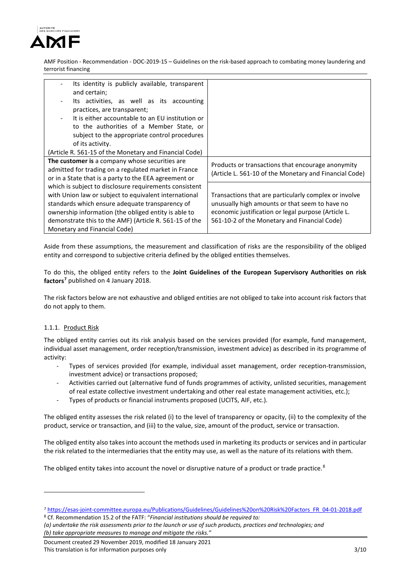

| Its identity is publicly available, transparent<br>$\overline{\phantom{0}}$ |                                                        |
|-----------------------------------------------------------------------------|--------------------------------------------------------|
| and certain;                                                                |                                                        |
| Its activities, as well as its accounting<br>$\overline{\phantom{0}}$       |                                                        |
| practices, are transparent;                                                 |                                                        |
| It is either accountable to an EU institution or                            |                                                        |
| to the authorities of a Member State, or                                    |                                                        |
| subject to the appropriate control procedures                               |                                                        |
| of its activity.                                                            |                                                        |
| (Article R. 561-15 of the Monetary and Financial Code)                      |                                                        |
| The customer is a company whose securities are                              | Products or transactions that encourage anonymity      |
| admitted for trading on a regulated market in France                        | (Article L. 561-10 of the Monetary and Financial Code) |
| or in a State that is a party to the EEA agreement or                       |                                                        |
| which is subject to disclosure requirements consistent                      |                                                        |
| with Union law or subject to equivalent international                       | Transactions that are particularly complex or involve  |
| standards which ensure adequate transparency of                             | unusually high amounts or that seem to have no         |
| ownership information (the obliged entity is able to                        | economic justification or legal purpose (Article L.    |
| demonstrate this to the AMF) (Article R. 561-15 of the                      | 561-10-2 of the Monetary and Financial Code)           |
| Monetary and Financial Code)                                                |                                                        |
|                                                                             |                                                        |

Aside from these assumptions, the measurement and classification of risks are the responsibility of the obliged entity and correspond to subjective criteria defined by the obliged entities themselves.

To do this, the obliged entity refers to the **Joint Guidelines of the European Supervisory Authorities on risk factors[7](#page-2-0)** published on 4 January 2018.

The risk factors below are not exhaustive and obliged entities are not obliged to take into account risk factors that do not apply to them.

## 1.1.1. Product Risk

<u>.</u>

The obliged entity carries out its risk analysis based on the services provided (for example, fund management, individual asset management, order reception/transmission, investment advice) as described in its programme of activity:

- Types of services provided (for example, individual asset management, order reception-transmission, investment advice) or transactions proposed;
- Activities carried out (alternative fund of funds programmes of activity, unlisted securities, management of real estate collective investment undertaking and other real estate management activities, etc.);
- Types of products or financial instruments proposed (UCITS, AIF, etc.).

The obliged entity assesses the risk related (i) to the level of transparency or opacity, (ii) to the complexity of the product, service or transaction, and (iii) to the value, size, amount of the product, service or transaction.

The obliged entity also takes into account the methods used in marketing its products or services and in particular the risk related to the intermediaries that the entity may use, as well as the nature of its relations with them.

The obliged entity takes into account the novel or disruptive nature of a product or trade practice.<sup>[8](#page-2-1)</sup>

<span id="page-2-1"></span><sup>8</sup> Cf. Recommendation 15.2 of the FATF: "*Financial institutions should be required to: (a) undertake the risk assessments prior to the launch or use of such products, practices and technologies; and*

*(b) take appropriate measures to manage and mitigate the risks."* 

Document created 29 November 2019, modified 18 January 2021 This translation is for information purposes only 3/10

<span id="page-2-0"></span><sup>7</sup> [https://esas-joint-committee.europa.eu/Publications/Guidelines/Guidelines%20on%20Risk%20Factors\\_FR\\_04-01-2018.pdf](https://esas-joint-committee.europa.eu/Publications/Guidelines/Guidelines%20on%20Risk%20Factors_FR_04-01-2018.pdf)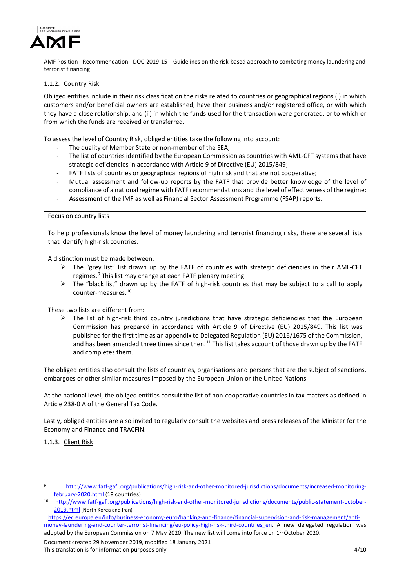

## 1.1.2. Country Risk

Obliged entities include in their risk classification the risks related to countries or geographical regions (i) in which customers and/or beneficial owners are established, have their business and/or registered office, or with which they have a close relationship, and (ii) in which the funds used for the transaction were generated, or to which or from which the funds are received or transferred.

To assess the level of Country Risk, obliged entities take the following into account:

- The quality of Member State or non-member of the EEA,
- The list of countries identified by the European Commission as countries with AML-CFT systems that have strategic deficiencies in accordance with Article 9 of Directive (EU) 2015/849;
- FATF lists of countries or geographical regions of high risk and that are not cooperative;
- Mutual assessment and follow-up reports by the FATF that provide better knowledge of the level of compliance of a national regime with FATF recommendations and the level of effectiveness of the regime;
- Assessment of the IMF as well as Financial Sector Assessment Programme (FSAP) reports.

#### Focus on country lists

To help professionals know the level of money laundering and terrorist financing risks, there are several lists that identify high-risk countries.

A distinction must be made between:

- $\triangleright$  The "grey list" list drawn up by the FATF of countries with strategic deficiencies in their AML-CFT regimes.<sup>[9](#page-3-0)</sup> This list may change at each FATF plenary meeting
- $\triangleright$  The "black list" drawn up by the FATF of high-risk countries that may be subject to a call to apply counter-measures.[10](#page-3-1)

These two lists are different from:

 $\triangleright$  The list of high-risk third country jurisdictions that have strategic deficiencies that the European Commission has prepared in accordance with Article 9 of Directive (EU) 2015/849. This list was published for the first time as an appendix to Delegated Regulation (EU) 2016/1675 of the Commission, and has been amended three times since then.<sup>[11](#page-3-2)</sup> This list takes account of those drawn up by the FATF and completes them.

The obliged entities also consult the lists of countries, organisations and persons that are the subject of sanctions, embargoes or other similar measures imposed by the European Union or the United Nations.

At the national level, the obliged entities consult the list of non-cooperative countries in tax matters as defined in Article 238-0 A of the General Tax Code.

Lastly, obliged entities are also invited to regularly consult the websites and press releases of the Minister for the Economy and Finance and TRACFIN.

1.1.3. Client Risk

-

<span id="page-3-2"></span>1[1https://ec.europa.eu/info/business-economy-euro/banking-and-finance/financial-supervision-and-risk-management/anti](https://ec.europa.eu/info/business-economy-euro/banking-and-finance/financial-supervision-and-risk-management/anti-money-laundering-and-counter-terrorist-financing/eu-policy-high-risk-third-countries_en)[money-laundering-and-counter-terrorist-financing/eu-policy-high-risk-third-countries\\_en.](https://ec.europa.eu/info/business-economy-euro/banking-and-finance/financial-supervision-and-risk-management/anti-money-laundering-and-counter-terrorist-financing/eu-policy-high-risk-third-countries_en) A new delegated regulation was adopted by the European Commission on 7 May 2020. The new list will come into force on 1<sup>st</sup> October 2020.

Document created 29 November 2019, modified 18 January 2021 This translation is for information purposes only the state of the state of the state of the 4/10

<span id="page-3-0"></span><sup>9</sup> [http://www.fatf-gafi.org/publications/high-risk-and-other-monitored-jurisdictions/documents/increased-monitoring](http://www.fatf-gafi.org/publications/high-risk-and-other-monitored-jurisdictions/documents/increased-monitoring-february-2020.html)february-2020.html [\(](http://www.fatf-gafi.org/publications/high-risk-and-other-monitored-jurisdictions/documents/increased-monitoring-february-2020.html)18 countries) 10 [http://www.fatf-gafi.org/publications/high-risk-and-other-monitored-jurisdictions/documents/public-statement-october-](http://www.fatf-gafi.org/publications/high-risk-and-other-monitored-jurisdictions/documents/public-statement-october-2019.html)

<span id="page-3-1"></span>[<sup>2019.</sup>html](http://www.fatf-gafi.org/publications/high-risk-and-other-monitored-jurisdictions/documents/public-statement-october-2019.html) (North Korea and Iran)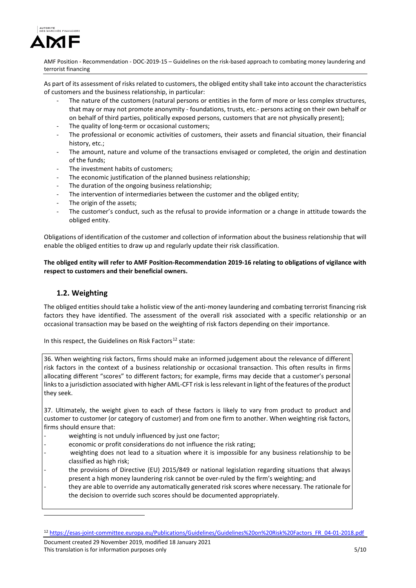

As part of its assessment of risks related to customers, the obliged entity shall take into account the characteristics of customers and the business relationship, in particular:

- The nature of the customers (natural persons or entities in the form of more or less complex structures, that may or may not promote anonymity - foundations, trusts, etc.- persons acting on their own behalf or on behalf of third parties, politically exposed persons, customers that are not physically present);
- The quality of long-term or occasional customers;
- The professional or economic activities of customers, their assets and financial situation, their financial history, etc.;
- The amount, nature and volume of the transactions envisaged or completed, the origin and destination of the funds;
- The investment habits of customers;
- The economic justification of the planned business relationship;
- The duration of the ongoing business relationship;
- The intervention of intermediaries between the customer and the obliged entity;
- The origin of the assets;
- The customer's conduct, such as the refusal to provide information or a change in attitude towards the obliged entity.

Obligations of identification of the customer and collection of information about the business relationship that will enable the obliged entities to draw up and regularly update their risk classification.

**The obliged entity will refer to AMF Position-Recommendation 2019-16 relating to obligations of vigilance with respect to customers and their beneficial owners.** 

# **1.2. Weighting**

<u>.</u>

The obliged entities should take a holistic view of the anti-money laundering and combating terrorist financing risk factors they have identified. The assessment of the overall risk associated with a specific relationship or an occasional transaction may be based on the weighting of risk factors depending on their importance.

In this respect, the Guidelines on Risk Factors<sup>[12](#page-4-0)</sup> state:

36. When weighting risk factors, firms should make an informed judgement about the relevance of different risk factors in the context of a business relationship or occasional transaction. This often results in firms allocating different "scores" to different factors; for example, firms may decide that a customer's personal links to a jurisdiction associated with higher AML-CFT risk is less relevant in light of the features of the product they seek.

37. Ultimately, the weight given to each of these factors is likely to vary from product to product and customer to customer (or category of customer) and from one firm to another. When weighting risk factors, firms should ensure that:

- weighting is not unduly influenced by just one factor;
- economic or profit considerations do not influence the risk rating;
- weighting does not lead to a situation where it is impossible for any business relationship to be classified as high risk;
- the provisions of Directive (EU) 2015/849 or national legislation regarding situations that always present a high money laundering risk cannot be over-ruled by the firm's weighting; and
- they are able to override any automatically generated risk scores where necessary. The rationale for the decision to override such scores should be documented appropriately.

<span id="page-4-0"></span><sup>12</sup> [https://esas-joint-committee.europa.eu/Publications/Guidelines/Guidelines%20on%20Risk%20Factors\\_FR\\_04-01-2018.pdf](https://esas-joint-committee.europa.eu/Publications/Guidelines/Guidelines%20on%20Risk%20Factors_FR_04-01-2018.pdf)

Document created 29 November 2019, modified 18 January 2021 This translation is for information purposes only 5/10 and 5/10 set of the state of the state of the state of the state of the state of the state of the state of the state of the state of the state of the state of the stat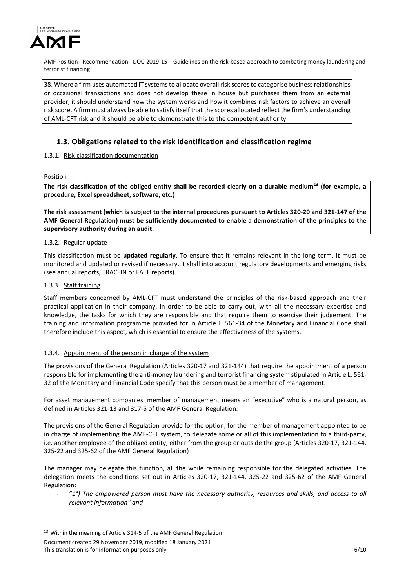

38. Where a firm uses automated IT systems to allocate overall risk scores to categorise business relationships or occasional transactions and does not develop these in house but purchases them from an external provider, it should understand how the system works and how it combines risk factors to achieve an overall risk score. A firm must always be able to satisfy itself that the scores allocated reflect the firm's understanding of AML-CFT risk and it should be able to demonstrate this to the competent authority

# **1.3. Obligations related to the risk identification and classification regime**

### 1.3.1. Risk classification documentation

Position

**The risk classification of the obliged entity shall be recorded clearly on a durable medium[13](#page-5-0) (for example, a procedure, Excel spreadsheet, software, etc.)**

**The risk assessment (which is subject to the internal procedures pursuant to Articles 320-20 and 321-147 of the AMF General Regulation) must be sufficiently documented to enable a demonstration of the principles to the supervisory authority during an audit.** 

### 1.3.2. Regular update

This classification must be **updated regularly**. To ensure that it remains relevant in the long term, it must be monitored and updated or revised if necessary. It shall into account regulatory developments and emerging risks (see annual reports, TRACFIN or FATF reports).

### 1.3.3. Staff training

<u>.</u>

Staff members concerned by AML-CFT must understand the principles of the risk-based approach and their practical application in their company, in order to be able to carry out, with all the necessary expertise and knowledge, the tasks for which they are responsible and that require them to exercise their judgement. The training and information programme provided for in Article L. 561-34 of the Monetary and Financial Code shall therefore include this aspect, which is essential to ensure the effectiveness of the systems.

### 1.3.4. Appointment of the person in charge of the system

The provisions of the General Regulation (Articles 320-17 and 321-144) that require the appointment of a person responsible for implementing the anti-money laundering and terrorist financing system stipulated in Article L. 561- 32 of the Monetary and Financial Code specify that this person must be a member of management.

For asset management companies, member of management means an "executive" who is a natural person, as defined in Articles 321-13 and 317-5 of the AMF General Regulation.

The provisions of the General Regulation provide for the option, for the member of management appointed to be in charge of implementing the AMF-CFT system, to delegate some or all of this implementation to a third-party, i.e. another employee of the obliged entity, either from the group or outside the group (Articles 320-17, 321-144, 325-22 and 325-62 of the AMF General Regulation)

The manager may delegate this function, all the while remaining responsible for the delegated activities. The delegation meets the conditions set out in Articles 320-17, 321-144, 325-22 and 325-62 of the AMF General Regulation:

- "*1°) The empowered person must have the necessary authority, resources and skills, and access to all relevant information" and*

<span id="page-5-0"></span><sup>&</sup>lt;sup>13</sup> Within the meaning of Article 314-5 of the AMF General Regulation

Document created 29 November 2019, modified 18 January 2021 This translation is for information purposes only **6/10** CONSERVING THE SERVING ONLY  $6/10$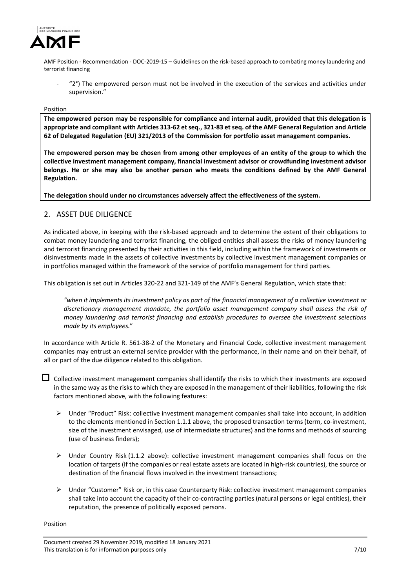

"2°) The empowered person must not be involved in the execution of the services and activities under supervision."

### Position

**The empowered person may be responsible for compliance and internal audit, provided that this delegation is appropriate and compliant with Articles 313-62 et seq., 321-83 et seq. of the AMF General Regulation and Article 62 of Delegated Regulation (EU) 321/2013 of the Commission for portfolio asset management companies.**

**The empowered person may be chosen from among other employees of an entity of the group to which the collective investment management company, financial investment advisor or crowdfunding investment advisor belongs. He or she may also be another person who meets the conditions defined by the AMF General Regulation.**

**The delegation should under no circumstances adversely affect the effectiveness of the system.**

## 2. ASSET DUE DILIGENCE

As indicated above, in keeping with the risk-based approach and to determine the extent of their obligations to combat money laundering and terrorist financing, the obliged entities shall assess the risks of money laundering and terrorist financing presented by their activities in this field, including within the framework of investments or disinvestments made in the assets of collective investments by collective investment management companies or in portfolios managed within the framework of the service of portfolio management for third parties.

This obligation is set out in Articles 320-22 and 321-149 of the AMF's General Regulation, which state that:

*"when it implements its investment policy as part of the financial management of a collective investment or discretionary management mandate, the portfolio asset management company shall assess the risk of money laundering and terrorist financing and establish procedures to oversee the investment selections made by its employees.*"

In accordance with Article R. 561-38-2 of the Monetary and Financial Code, collective investment management companies may entrust an external service provider with the performance, in their name and on their behalf, of all or part of the due diligence related to this obligation.

 $\Box$  Collective investment management companies shall identify the risks to which their investments are exposed in the same way as the risks to which they are exposed in the management of their liabilities, following the risk factors mentioned above, with the following features:

- $\triangleright$  Under "Product" Risk: collective investment management companies shall take into account, in addition to the elements mentioned in Section 1.1.1 above, the proposed transaction terms (term, co-investment, size of the investment envisaged, use of intermediate structures) and the forms and methods of sourcing (use of business finders);
- $\triangleright$  Under Country Risk (1.1.2 above): collective investment management companies shall focus on the location of targets (if the companies or real estate assets are located in high-risk countries), the source or destination of the financial flows involved in the investment transactions;
- $\triangleright$  Under "Customer" Risk or, in this case Counterparty Risk: collective investment management companies shall take into account the capacity of their co-contracting parties (natural persons or legal entities), their reputation, the presence of politically exposed persons.

Position

Document created 29 November 2019, modified 18 January 2021 This translation is for information purposes only 7/10 and 7/10 and 7/10 and 7/10 and 7/10 and 7/10 and 7/10 and 7/10 and 7/10 and 7/10 and 7/10 and 7/10 and 7/10 and 7/10 and 7/10 and 7/10 and 7/10 and 7/10 and 7/10 and 7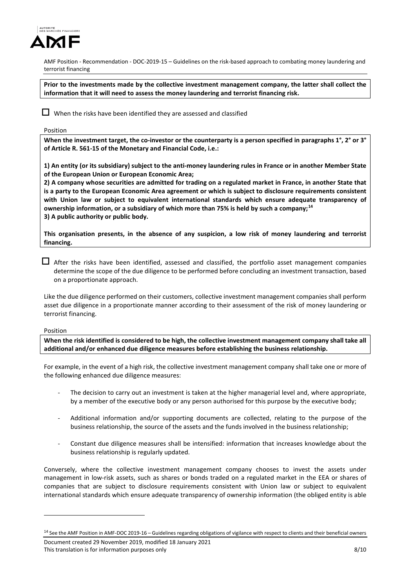

**Prior to the investments made by the collective investment management company, the latter shall collect the information that it will need to assess the money laundering and terrorist financing risk.**

 $\Box$  When the risks have been identified they are assessed and classified

### Position

**When the investment target, the co-investor or the counterparty is a person specified in paragraphs 1°, 2° or 3° of Article R. 561-15 of the Monetary and Financial Code, i.e.:** 

**1) An entity (or its subsidiary) subject to the anti-money laundering rules in France or in another Member State of the European Union or European Economic Area;** 

**2) A company whose securities are admitted for trading on a regulated market in France, in another State that is a party to the European Economic Area agreement or which is subject to disclosure requirements consistent with Union law or subject to equivalent international standards which ensure adequate transparency of ownership information, or a subsidiary of which more than 75% is held by such a company;[14](#page-7-0) 3) A public authority or public body.**

**This organisation presents, in the absence of any suspicion, a low risk of money laundering and terrorist financing.** 

 $\Box$  After the risks have been identified, assessed and classified, the portfolio asset management companies determine the scope of the due diligence to be performed before concluding an investment transaction, based on a proportionate approach.

Like the due diligence performed on their customers, collective investment management companies shall perform asset due diligence in a proportionate manner according to their assessment of the risk of money laundering or terrorist financing.

Position

<u>.</u>

**When the risk identified is considered to be high, the collective investment management company shall take all additional and/or enhanced due diligence measures before establishing the business relationship.**

For example, in the event of a high risk, the collective investment management company shall take one or more of the following enhanced due diligence measures:

- The decision to carry out an investment is taken at the higher managerial level and, where appropriate, by a member of the executive body or any person authorised for this purpose by the executive body;
- Additional information and/or supporting documents are collected, relating to the purpose of the business relationship, the source of the assets and the funds involved in the business relationship;
- Constant due diligence measures shall be intensified: information that increases knowledge about the business relationship is regularly updated.

Conversely, where the collective investment management company chooses to invest the assets under management in low-risk assets, such as shares or bonds traded on a regulated market in the EEA or shares of companies that are subject to disclosure requirements consistent with Union law or subject to equivalent international standards which ensure adequate transparency of ownership information (the obliged entity is able

<span id="page-7-0"></span><sup>&</sup>lt;sup>14</sup> See the AMF Position in AMF-DOC 2019-16 – Guidelines regarding obligations of vigilance with respect to clients and their beneficial owners

Document created 29 November 2019, modified 18 January 2021 This translation is for information purposes only **8/10** S/10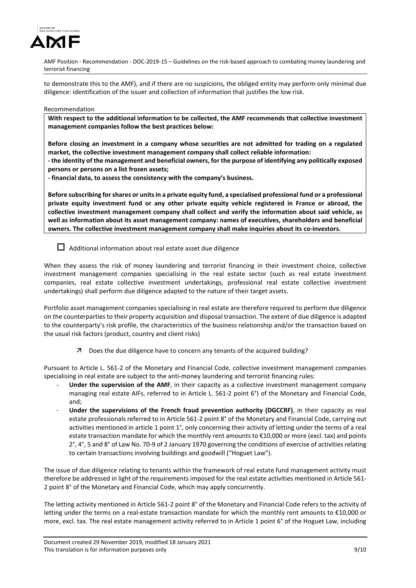

to demonstrate this to the AMF), and if there are no suspicions, the obliged entity may perform only minimal due diligence: identification of the issuer and collection of information that justifies the low risk.

#### Recommendation

**With respect to the additional information to be collected, the AMF recommends that collective investment management companies follow the best practices below:** 

**Before closing an investment in a company whose securities are not admitted for trading on a regulated market, the collective investment management company shall collect reliable information:** 

**- the identity of the management and beneficial owners, for the purpose of identifying any politically exposed persons or persons on a list frozen assets;** 

**- financial data, to assess the consistency with the company's business.**

**Before subscribing for shares or units in a private equity fund, a specialised professional fund or a professional private equity investment fund or any other private equity vehicle registered in France or abroad, the collective investment management company shall collect and verify the information about said vehicle, as well as information about its asset management company: names of executives, shareholders and beneficial owners. The collective investment management company shall make inquiries about its co-investors.**

## $\Box$  Additional information about real estate asset due diligence

When they assess the risk of money laundering and terrorist financing in their investment choice, collective investment management companies specialising in the real estate sector (such as real estate investment companies, real estate collective investment undertakings, professional real estate collective investment undertakings) shall perform due diligence adapted to the nature of their target assets.

Portfolio asset management companies specialising in real estate are therefore required to perform due diligence on the counterparties to their property acquisition and disposal transaction. The extent of due diligence is adapted to the counterparty's risk profile, the characteristics of the business relationship and/or the transaction based on the usual risk factors (product, country and client risks)

Does the due diligence have to concern any tenants of the acquired building?

Pursuant to Article L. 561-2 of the Monetary and Financial Code, collective investment management companies specialising in real estate are subject to the anti-money laundering and terrorist financing rules:

- Under the supervision of the AMF, in their capacity as a collective investment management company managing real estate AIFs, referred to in Article L. 561-2 point 6°) of the Monetary and Financial Code, and;
- Under the supervisions of the French fraud prevention authority (DGCCRF), in their capacity as real estate professionals referred to in Article 561-2 point 8° of the Monetary and Financial Code, carrying out activities mentioned in article 1 point 1°, only concerning their activity of letting under the terms of a real estate transaction mandate for which the monthly rent amounts to €10,000 or more (excl. tax) and points 2°, 4°, 5 and 8° of Law No. 70-9 of 2 January 1970 governing the conditions of exercise of activities relating to certain transactions involving buildings and goodwill ("Hoguet Law").

The issue of due diligence relating to tenants within the framework of real estate fund management activity must therefore be addressed in light of the requirements imposed for the real estate activities mentioned in Article 561- 2 point 8° of the Monetary and Financial Code, which may apply concurrently.

The letting activity mentioned in Article 561-2 point 8° of the Monetary and Financial Code refers to the activity of letting under the terms on a real-estate transaction mandate for which the monthly rent amounts to €10,000 or more, excl. tax. The real estate management activity referred to in Article 1 point 6° of the Hoguet Law, including